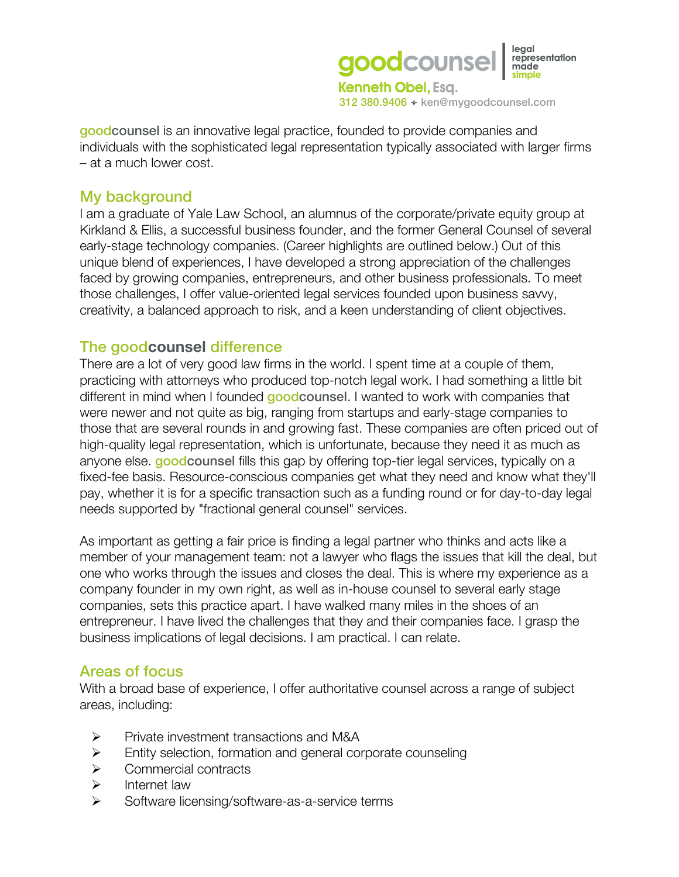

goodcounsel is an innovative legal practice, founded to provide companies and individuals with the sophisticated legal representation typically associated with larger firms – at a much lower cost.

#### My background

I am a graduate of Yale Law School, an alumnus of the corporate/private equity group at Kirkland & Ellis, a successful business founder, and the former General Counsel of several early-stage technology companies. (Career highlights are outlined below.) Out of this unique blend of experiences, I have developed a strong appreciation of the challenges faced by growing companies, entrepreneurs, and other business professionals. To meet those challenges, I offer value-oriented legal services founded upon business savvy, creativity, a balanced approach to risk, and a keen understanding of client objectives.

#### The good**counsel** difference

There are a lot of very good law firms in the world. I spent time at a couple of them, practicing with attorneys who produced top-notch legal work. I had something a little bit different in mind when I founded **goodcounsel.** I wanted to work with companies that were newer and not quite as big, ranging from startups and early-stage companies to those that are several rounds in and growing fast. These companies are often priced out of high-quality legal representation, which is unfortunate, because they need it as much as anyone else. **goodcounsel** fills this gap by offering top-tier legal services, typically on a fixed-fee basis. Resource-conscious companies get what they need and know what they'll pay, whether it is for a specific transaction such as a funding round or for day-to-day legal needs supported by "fractional general counsel" services.

As important as getting a fair price is finding a legal partner who thinks and acts like a member of your management team: not a lawyer who flags the issues that kill the deal, but one who works through the issues and closes the deal. This is where my experience as a company founder in my own right, as well as in-house counsel to several early stage companies, sets this practice apart. I have walked many miles in the shoes of an entrepreneur. I have lived the challenges that they and their companies face. I grasp the business implications of legal decisions. I am practical. I can relate.

## Areas of focus

With a broad base of experience, I offer authoritative counsel across a range of subject areas, including:

- **Private investment transactions and M&A**
- Entity selection, formation and general corporate counseling
- **▶ Commercial contracts**
- $\triangleright$  Internet law
- $\triangleright$  Software licensing/software-as-a-service terms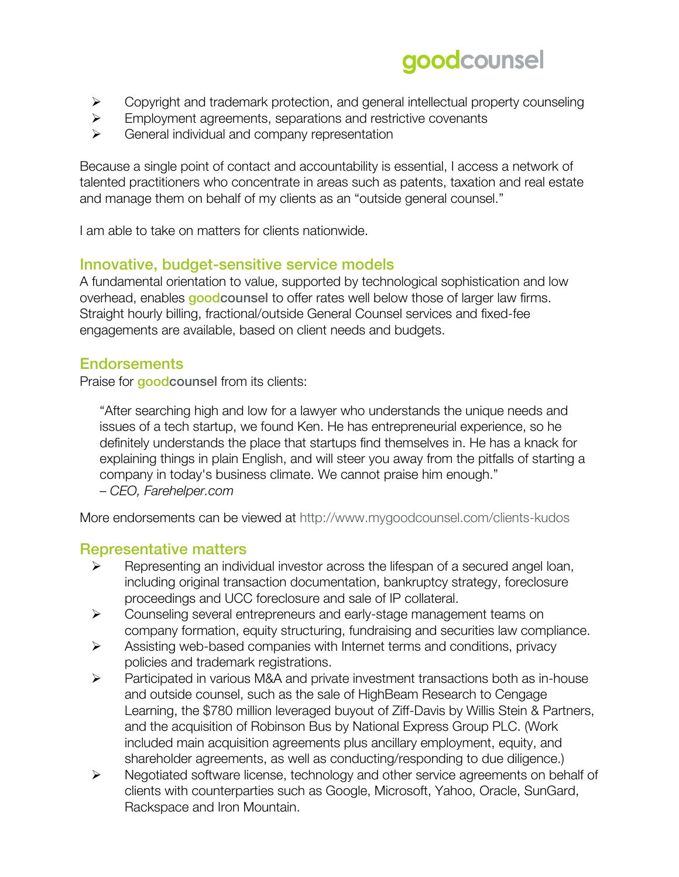# goodcounsel

- $\triangleright$  Copyright and trademark protection, and general intellectual property counseling
- $\triangleright$  Employment agreements, separations and restrictive covenants
- $\triangleright$  General individual and company representation

Because a single point of contact and accountability is essential, I access a network of talented practitioners who concentrate in areas such as patents, taxation and real estate and manage them on behalf of my clients as an "outside general counsel."

I am able to take on matters for clients nationwide.

## Innovative, budget-sensitive service models

A fundamental orientation to value, supported by technological sophistication and low overhead, enables goodcounsel to offer rates well below those of larger law firms. Straight hourly billing, fractional/outside General Counsel services and fixed-fee engagements are available, based on client needs and budgets.

## **Endorsements**

Praise for **goodcounsel** from its clients:

"After searching high and low for a lawyer who understands the unique needs and issues of a tech startup, we found Ken. He has entrepreneurial experience, so he definitely understands the place that startups find themselves in. He has a knack for explaining things in plain English, and will steer you away from the pitfalls of starting a company in today's business climate. We cannot praise him enough."

– *CEO, Farehelper.com*

More endorsements can be viewed at http://www.mygoodcounsel.com/clients-kudos

#### Representative matters

- $\triangleright$  Representing an individual investor across the lifespan of a secured angel loan, including original transaction documentation, bankruptcy strategy, foreclosure proceedings and UCC foreclosure and sale of IP collateral.
- Counseling several entrepreneurs and early-stage management teams on company formation, equity structuring, fundraising and securities law compliance.
- $\triangleright$  Assisting web-based companies with Internet terms and conditions, privacy policies and trademark registrations.
- Participated in various M&A and private investment transactions both as in-house and outside counsel, such as the sale of HighBeam Research to Cengage Learning, the \$780 million leveraged buyout of Ziff-Davis by Willis Stein & Partners, and the acquisition of Robinson Bus by National Express Group PLC. (Work included main acquisition agreements plus ancillary employment, equity, and shareholder agreements, as well as conducting/responding to due diligence.)
- Negotiated software license, technology and other service agreements on behalf of clients with counterparties such as Google, Microsoft, Yahoo, Oracle, SunGard, Rackspace and Iron Mountain.